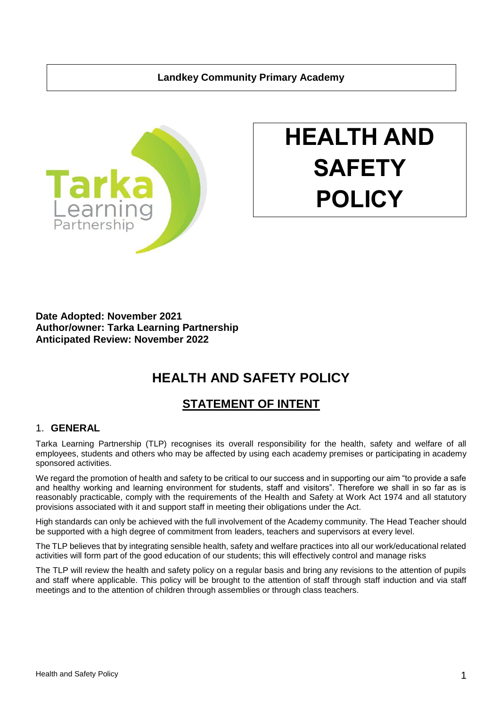### **Landkey Community Primary Academy**



# **HEALTH AND SAFETY POLICY**

**Date Adopted: November 2021 Author/owner: Tarka Learning Partnership Anticipated Review: November 2022**

## **HEALTH AND SAFETY POLICY**

## **STATEMENT OF INTENT**

#### 1. **GENERAL**

Tarka Learning Partnership (TLP) recognises its overall responsibility for the health, safety and welfare of all employees, students and others who may be affected by using each academy premises or participating in academy sponsored activities.

We regard the promotion of health and safety to be critical to our success and in supporting our aim "to provide a safe and healthy working and learning environment for students, staff and visitors". Therefore we shall in so far as is reasonably practicable, comply with the requirements of the Health and Safety at Work Act 1974 and all statutory provisions associated with it and support staff in meeting their obligations under the Act.

High standards can only be achieved with the full involvement of the Academy community. The Head Teacher should be supported with a high degree of commitment from leaders, teachers and supervisors at every level.

The TLP believes that by integrating sensible health, safety and welfare practices into all our work/educational related activities will form part of the good education of our students; this will effectively control and manage risks

The TLP will review the health and safety policy on a regular basis and bring any revisions to the attention of pupils and staff where applicable. This policy will be brought to the attention of staff through staff induction and via staff meetings and to the attention of children through assemblies or through class teachers.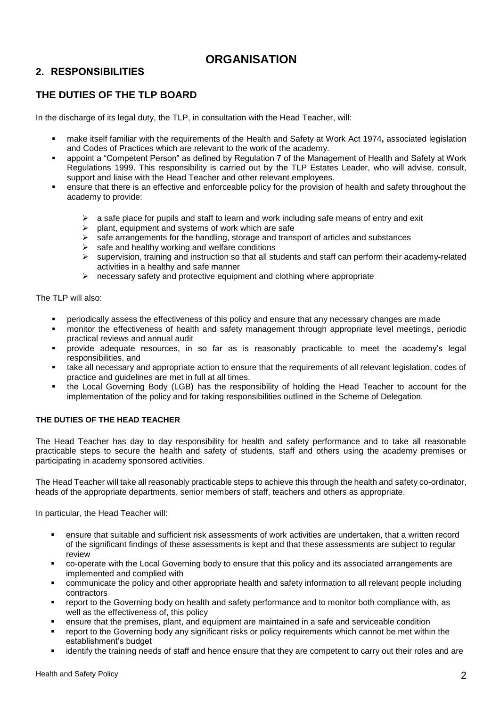## **ORGANISATION**

## **2. RESPONSIBILITIES**

## **THE DUTIES OF THE TLP BOARD**

In the discharge of its legal duty, the TLP, in consultation with the Head Teacher, will:

- make itself familiar with the requirements of the Health and Safety at Work Act 1974**,** associated legislation and Codes of Practices which are relevant to the work of the academy.
- appoint a "Competent Person" as defined by Regulation 7 of the Management of Health and Safety at Work Regulations 1999. This responsibility is carried out by the TLP Estates Leader, who will advise, consult, support and liaise with the Head Teacher and other relevant employees.
- ensure that there is an effective and enforceable policy for the provision of health and safety throughout the academy to provide:
	- $\triangleright$  a safe place for pupils and staff to learn and work including safe means of entry and exit
	- $\triangleright$  plant, equipment and systems of work which are safe
	- $\triangleright$  safe arrangements for the handling, storage and transport of articles and substances
	- $\triangleright$  safe and healthy working and welfare conditions
	- $\triangleright$  supervision, training and instruction so that all students and staff can perform their academy-related activities in a healthy and safe manner
	- $\triangleright$  necessary safety and protective equipment and clothing where appropriate

The TLP will also:

- periodically assess the effectiveness of this policy and ensure that any necessary changes are made
- monitor the effectiveness of health and safety management through appropriate level meetings, periodic practical reviews and annual audit
- provide adequate resources, in so far as is reasonably practicable to meet the academy's legal responsibilities, and
- take all necessary and appropriate action to ensure that the requirements of all relevant legislation, codes of practice and guidelines are met in full at all times.
- the Local Governing Body (LGB) has the responsibility of holding the Head Teacher to account for the implementation of the policy and for taking responsibilities outlined in the Scheme of Delegation.

#### **THE DUTIES OF THE HEAD TEACHER**

The Head Teacher has day to day responsibility for health and safety performance and to take all reasonable practicable steps to secure the health and safety of students, staff and others using the academy premises or participating in academy sponsored activities.

The Head Teacher will take all reasonably practicable steps to achieve this through the health and safety co-ordinator, heads of the appropriate departments, senior members of staff, teachers and others as appropriate.

In particular, the Head Teacher will:

- ensure that suitable and sufficient risk assessments of work activities are undertaken, that a written record of the significant findings of these assessments is kept and that these assessments are subject to regular review
- co-operate with the Local Governing body to ensure that this policy and its associated arrangements are implemented and complied with
- communicate the policy and other appropriate health and safety information to all relevant people including contractors
- report to the Governing body on health and safety performance and to monitor both compliance with, as well as the effectiveness of, this policy
- ensure that the premises, plant, and equipment are maintained in a safe and serviceable condition
- report to the Governing body any significant risks or policy requirements which cannot be met within the establishment's budget
- identify the training needs of staff and hence ensure that they are competent to carry out their roles and are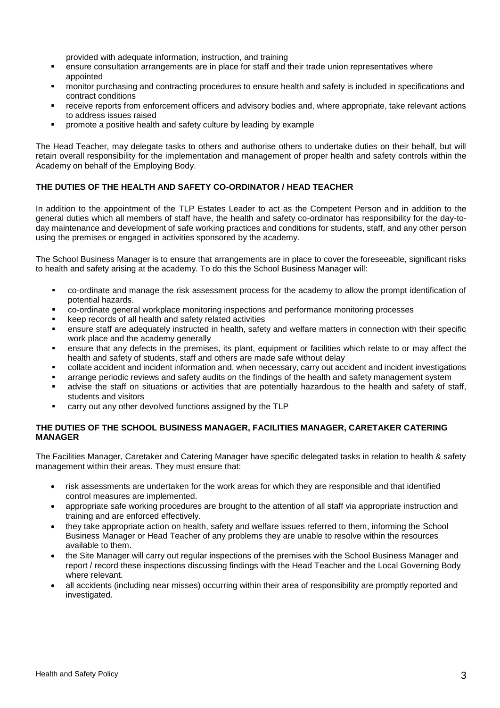provided with adequate information, instruction, and training

- ensure consultation arrangements are in place for staff and their trade union representatives where appointed
- monitor purchasing and contracting procedures to ensure health and safety is included in specifications and contract conditions
- receive reports from enforcement officers and advisory bodies and, where appropriate, take relevant actions to address issues raised
- promote a positive health and safety culture by leading by example

The Head Teacher, may delegate tasks to others and authorise others to undertake duties on their behalf, but will retain overall responsibility for the implementation and management of proper health and safety controls within the Academy on behalf of the Employing Body.

#### **THE DUTIES OF THE HEALTH AND SAFETY CO-ORDINATOR / HEAD TEACHER**

In addition to the appointment of the TLP Estates Leader to act as the Competent Person and in addition to the general duties which all members of staff have, the health and safety co-ordinator has responsibility for the day-today maintenance and development of safe working practices and conditions for students, staff, and any other person using the premises or engaged in activities sponsored by the academy.

The School Business Manager is to ensure that arrangements are in place to cover the foreseeable, significant risks to health and safety arising at the academy. To do this the School Business Manager will:

- co-ordinate and manage the risk assessment process for the academy to allow the prompt identification of potential hazards.
- co-ordinate general workplace monitoring inspections and performance monitoring processes
- keep records of all health and safety related activities
- ensure staff are adequately instructed in health, safety and welfare matters in connection with their specific work place and the academy generally
- ensure that any defects in the premises, its plant, equipment or facilities which relate to or may affect the health and safety of students, staff and others are made safe without delay
- collate accident and incident information and, when necessary, carry out accident and incident investigations
- arrange periodic reviews and safety audits on the findings of the health and safety management system
- advise the staff on situations or activities that are potentially hazardous to the health and safety of staff, students and visitors
- carry out any other devolved functions assigned by the TLP

#### **THE DUTIES OF THE SCHOOL BUSINESS MANAGER, FACILITIES MANAGER, CARETAKER CATERING MANAGER**

The Facilities Manager, Caretaker and Catering Manager have specific delegated tasks in relation to health & safety management within their areas*.* They must ensure that:

- risk assessments are undertaken for the work areas for which they are responsible and that identified control measures are implemented.
- appropriate safe working procedures are brought to the attention of all staff via appropriate instruction and training and are enforced effectively.
- they take appropriate action on health, safety and welfare issues referred to them, informing the School Business Manager or Head Teacher of any problems they are unable to resolve within the resources available to them.
- the Site Manager will carry out regular inspections of the premises with the School Business Manager and report / record these inspections discussing findings with the Head Teacher and the Local Governing Body where relevant.
- all accidents (including near misses) occurring within their area of responsibility are promptly reported and investigated.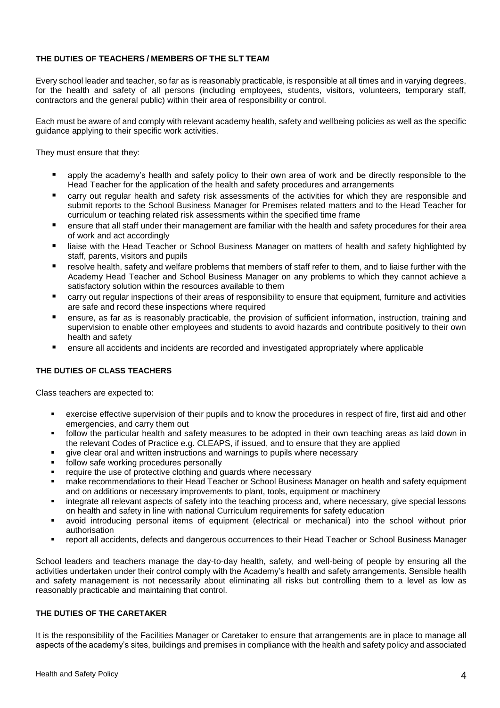#### **THE DUTIES OF TEACHERS / MEMBERS OF THE SLT TEAM**

Every school leader and teacher, so far as is reasonably practicable, is responsible at all times and in varying degrees, for the health and safety of all persons (including employees, students, visitors, volunteers, temporary staff, contractors and the general public) within their area of responsibility or control.

Each must be aware of and comply with relevant academy health, safety and wellbeing policies as well as the specific guidance applying to their specific work activities.

They must ensure that they:

- apply the academy's health and safety policy to their own area of work and be directly responsible to the Head Teacher for the application of the health and safety procedures and arrangements
- carry out regular health and safety risk assessments of the activities for which they are responsible and submit reports to the School Business Manager for Premises related matters and to the Head Teacher for curriculum or teaching related risk assessments within the specified time frame
- ensure that all staff under their management are familiar with the health and safety procedures for their area of work and act accordingly
- liaise with the Head Teacher or School Business Manager on matters of health and safety highlighted by staff, parents, visitors and pupils
- resolve health, safety and welfare problems that members of staff refer to them, and to liaise further with the Academy Head Teacher and School Business Manager on any problems to which they cannot achieve a satisfactory solution within the resources available to them
- carry out regular inspections of their areas of responsibility to ensure that equipment, furniture and activities are safe and record these inspections where required
- ensure, as far as is reasonably practicable, the provision of sufficient information, instruction, training and supervision to enable other employees and students to avoid hazards and contribute positively to their own health and safety
- ensure all accidents and incidents are recorded and investigated appropriately where applicable

#### **THE DUTIES OF CLASS TEACHERS**

Class teachers are expected to:

- exercise effective supervision of their pupils and to know the procedures in respect of fire, first aid and other emergencies, and carry them out
- follow the particular health and safety measures to be adopted in their own teaching areas as laid down in the relevant Codes of Practice e.g. CLEAPS, if issued, and to ensure that they are applied
- give clear oral and written instructions and warnings to pupils where necessary
- follow safe working procedures personally
- require the use of protective clothing and guards where necessary
- make recommendations to their Head Teacher or School Business Manager on health and safety equipment and on additions or necessary improvements to plant, tools, equipment or machinery
- integrate all relevant aspects of safety into the teaching process and, where necessary, give special lessons on health and safety in line with national Curriculum requirements for safety education
- avoid introducing personal items of equipment (electrical or mechanical) into the school without prior authorisation
- report all accidents, defects and dangerous occurrences to their Head Teacher or School Business Manager

School leaders and teachers manage the day-to-day health, safety, and well-being of people by ensuring all the activities undertaken under their control comply with the Academy's health and safety arrangements. Sensible health and safety management is not necessarily about eliminating all risks but controlling them to a level as low as reasonably practicable and maintaining that control.

#### **THE DUTIES OF THE CARETAKER**

It is the responsibility of the Facilities Manager or Caretaker to ensure that arrangements are in place to manage all aspects of the academy's sites, buildings and premises in compliance with the health and safety policy and associated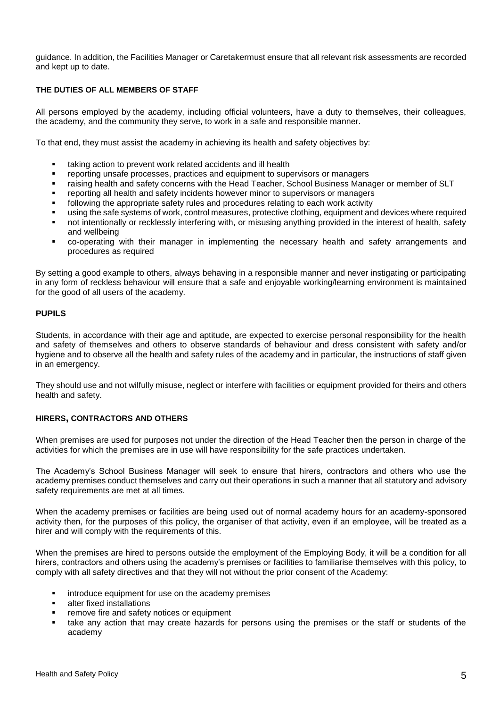guidance. In addition, the Facilities Manager or Caretakermust ensure that all relevant risk assessments are recorded and kept up to date.

#### **THE DUTIES OF ALL MEMBERS OF STAFF**

All persons employed by the academy, including official volunteers, have a duty to themselves, their colleagues, the academy, and the community they serve, to work in a safe and responsible manner.

To that end, they must assist the academy in achieving its health and safety objectives by:

- taking action to prevent work related accidents and ill health
- reporting unsafe processes, practices and equipment to supervisors or managers
- raising health and safety concerns with the Head Teacher, School Business Manager or member of SLT
- reporting all health and safety incidents however minor to supervisors or managers
- following the appropriate safety rules and procedures relating to each work activity
- using the safe systems of work, control measures, protective clothing, equipment and devices where required
- not intentionally or recklessly interfering with, or misusing anything provided in the interest of health, safety and wellbeing
- co-operating with their manager in implementing the necessary health and safety arrangements and procedures as required

By setting a good example to others, always behaving in a responsible manner and never instigating or participating in any form of reckless behaviour will ensure that a safe and enjoyable working/learning environment is maintained for the good of all users of the academy.

#### **PUPILS**

Students, in accordance with their age and aptitude, are expected to exercise personal responsibility for the health and safety of themselves and others to observe standards of behaviour and dress consistent with safety and/or hygiene and to observe all the health and safety rules of the academy and in particular, the instructions of staff given in an emergency.

They should use and not wilfully misuse, neglect or interfere with facilities or equipment provided for theirs and others health and safety.

#### **HIRERS, CONTRACTORS AND OTHERS**

When premises are used for purposes not under the direction of the Head Teacher then the person in charge of the activities for which the premises are in use will have responsibility for the safe practices undertaken.

The Academy's School Business Manager will seek to ensure that hirers, contractors and others who use the academy premises conduct themselves and carry out their operations in such a manner that all statutory and advisory safety requirements are met at all times.

When the academy premises or facilities are being used out of normal academy hours for an academy-sponsored activity then, for the purposes of this policy, the organiser of that activity, even if an employee, will be treated as a hirer and will comply with the requirements of this.

When the premises are hired to persons outside the employment of the Employing Body, it will be a condition for all hirers, contractors and others using the academy's premises or facilities to familiarise themselves with this policy, to comply with all safety directives and that they will not without the prior consent of the Academy:

- introduce equipment for use on the academy premises
- alter fixed installations
- remove fire and safety notices or equipment
- take any action that may create hazards for persons using the premises or the staff or students of the academy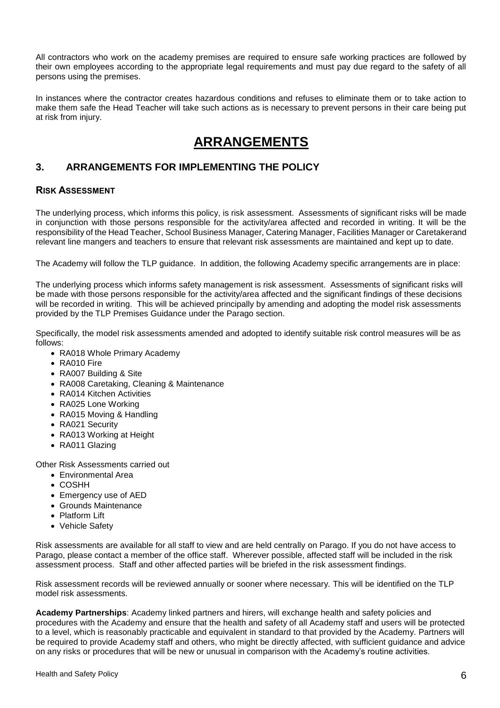All contractors who work on the academy premises are required to ensure safe working practices are followed by their own employees according to the appropriate legal requirements and must pay due regard to the safety of all persons using the premises.

In instances where the contractor creates hazardous conditions and refuses to eliminate them or to take action to make them safe the Head Teacher will take such actions as is necessary to prevent persons in their care being put at risk from injury.

# **ARRANGEMENTS**

## **3. ARRANGEMENTS FOR IMPLEMENTING THE POLICY**

#### **RISK ASSESSMENT**

The underlying process, which informs this policy, is risk assessment. Assessments of significant risks will be made in conjunction with those persons responsible for the activity/area affected and recorded in writing. It will be the responsibility of the Head Teacher, School Business Manager, Catering Manager, Facilities Manager or Caretakerand relevant line mangers and teachers to ensure that relevant risk assessments are maintained and kept up to date.

The Academy will follow the TLP guidance. In addition, the following Academy specific arrangements are in place:

The underlying process which informs safety management is risk assessment. Assessments of significant risks will be made with those persons responsible for the activity/area affected and the significant findings of these decisions will be recorded in writing. This will be achieved principally by amending and adopting the model risk assessments provided by the TLP Premises Guidance under the Parago section.

Specifically, the model risk assessments amended and adopted to identify suitable risk control measures will be as follows:

- RA018 Whole Primary Academy
- RA010 Fire
- RA007 Building & Site
- RA008 Caretaking, Cleaning & Maintenance
- RA014 Kitchen Activities
- RA025 Lone Working
- RA015 Moving & Handling
- RA021 Security
- RA013 Working at Height
- RA011 Glazing

Other Risk Assessments carried out

- Environmental Area
- COSHH
- Emergency use of AED
- Grounds Maintenance
- Platform Lift
- Vehicle Safety

Risk assessments are available for all staff to view and are held centrally on Parago. If you do not have access to Parago, please contact a member of the office staff. Wherever possible, affected staff will be included in the risk assessment process. Staff and other affected parties will be briefed in the risk assessment findings.

Risk assessment records will be reviewed annually or sooner where necessary*.* This will be identified on the TLP model risk assessments.

**Academy Partnerships**: Academy linked partners and hirers, will exchange health and safety policies and procedures with the Academy and ensure that the health and safety of all Academy staff and users will be protected to a level, which is reasonably practicable and equivalent in standard to that provided by the Academy. Partners will be required to provide Academy staff and others, who might be directly affected, with sufficient guidance and advice on any risks or procedures that will be new or unusual in comparison with the Academy's routine activities.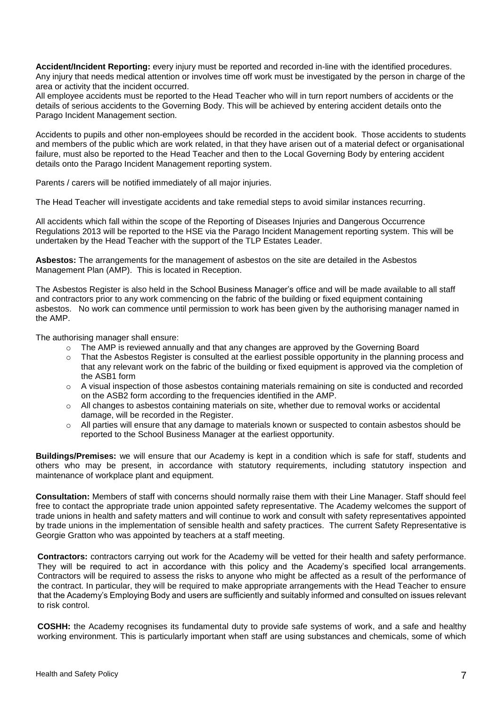**Accident/Incident Reporting:** every injury must be reported and recorded in-line with the identified procedures. Any injury that needs medical attention or involves time off work must be investigated by the person in charge of the area or activity that the incident occurred.

All employee accidents must be reported to the Head Teacher who will in turn report numbers of accidents or the details of serious accidents to the Governing Body. This will be achieved by entering accident details onto the Parago Incident Management section.

Accidents to pupils and other non-employees should be recorded in the accident book. Those accidents to students and members of the public which are work related, in that they have arisen out of a material defect or organisational failure, must also be reported to the Head Teacher and then to the Local Governing Body by entering accident details onto the Parago Incident Management reporting system.

Parents / carers will be notified immediately of all major injuries.

The Head Teacher will investigate accidents and take remedial steps to avoid similar instances recurring.

All accidents which fall within the scope of the Reporting of Diseases Injuries and Dangerous Occurrence Regulations 2013 will be reported to the HSE via the Parago Incident Management reporting system. This will be undertaken by the Head Teacher with the support of the TLP Estates Leader.

**Asbestos:** The arrangements for the management of asbestos on the site are detailed in the Asbestos Management Plan (AMP). This is located in Reception.

The Asbestos Register is also held in the School Business Manager's office and will be made available to all staff and contractors prior to any work commencing on the fabric of the building or fixed equipment containing asbestos. No work can commence until permission to work has been given by the authorising manager named in the AMP.

The authorising manager shall ensure:

- The AMP is reviewed annually and that any changes are approved by the Governing Board
- o That the Asbestos Register is consulted at the earliest possible opportunity in the planning process and that any relevant work on the fabric of the building or fixed equipment is approved via the completion of the ASB1 form
- $\circ$  A visual inspection of those asbestos containing materials remaining on site is conducted and recorded on the ASB2 form according to the frequencies identified in the AMP.
- o All changes to asbestos containing materials on site, whether due to removal works or accidental damage, will be recorded in the Register.
- o All parties will ensure that any damage to materials known or suspected to contain asbestos should be reported to the School Business Manager at the earliest opportunity.

**Buildings/Premises:** we will ensure that our Academy is kept in a condition which is safe for staff, students and others who may be present, in accordance with statutory requirements, including statutory inspection and maintenance of workplace plant and equipment.

**Consultation:** Members of staff with concerns should normally raise them with their Line Manager. Staff should feel free to contact the appropriate trade union appointed safety representative. The Academy welcomes the support of trade unions in health and safety matters and will continue to work and consult with safety representatives appointed by trade unions in the implementation of sensible health and safety practices. The current Safety Representative is Georgie Gratton who was appointed by teachers at a staff meeting.

**Contractors:** contractors carrying out work for the Academy will be vetted for their health and safety performance. They will be required to act in accordance with this policy and the Academy's specified local arrangements. Contractors will be required to assess the risks to anyone who might be affected as a result of the performance of the contract. In particular, they will be required to make appropriate arrangements with the Head Teacher to ensure that the Academy's Employing Body and users are sufficiently and suitably informed and consulted on issues relevant to risk control.

**COSHH:** the Academy recognises its fundamental duty to provide safe systems of work, and a safe and healthy working environment. This is particularly important when staff are using substances and chemicals, some of which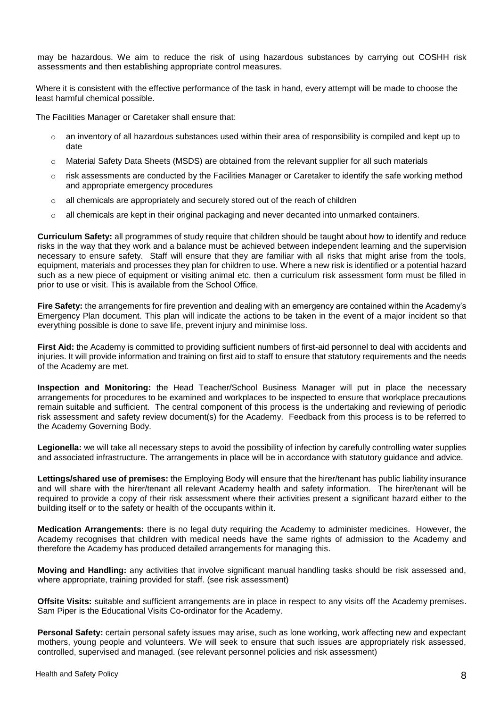may be hazardous. We aim to reduce the risk of using hazardous substances by carrying out COSHH risk assessments and then establishing appropriate control measures.

Where it is consistent with the effective performance of the task in hand, every attempt will be made to choose the least harmful chemical possible.

The Facilities Manager or Caretaker shall ensure that:

- $\circ$  an inventory of all hazardous substances used within their area of responsibility is compiled and kept up to date
- o Material Safety Data Sheets (MSDS) are obtained from the relevant supplier for all such materials
- o risk assessments are conducted by the Facilities Manager or Caretaker to identify the safe working method and appropriate emergency procedures
- $\circ$  all chemicals are appropriately and securely stored out of the reach of children
- o all chemicals are kept in their original packaging and never decanted into unmarked containers.

**Curriculum Safety:** all programmes of study require that children should be taught about how to identify and reduce risks in the way that they work and a balance must be achieved between independent learning and the supervision necessary to ensure safety. Staff will ensure that they are familiar with all risks that might arise from the tools, equipment, materials and processes they plan for children to use. Where a new risk is identified or a potential hazard such as a new piece of equipment or visiting animal etc. then a curriculum risk assessment form must be filled in prior to use or visit. This is available from the School Office.

**Fire Safety:** the arrangements for fire prevention and dealing with an emergency are contained within the Academy's Emergency Plan document. This plan will indicate the actions to be taken in the event of a major incident so that everything possible is done to save life, prevent injury and minimise loss.

**First Aid:** the Academy is committed to providing sufficient numbers of first-aid personnel to deal with accidents and injuries. It will provide information and training on first aid to staff to ensure that statutory requirements and the needs of the Academy are met.

**Inspection and Monitoring:** the Head Teacher/School Business Manager will put in place the necessary arrangements for procedures to be examined and workplaces to be inspected to ensure that workplace precautions remain suitable and sufficient. The central component of this process is the undertaking and reviewing of periodic risk assessment and safety review document(s) for the Academy. Feedback from this process is to be referred to the Academy Governing Body.

**Legionella:** we will take all necessary steps to avoid the possibility of infection by carefully controlling water supplies and associated infrastructure. The arrangements in place will be in accordance with statutory guidance and advice.

**Lettings/shared use of premises:** the Employing Body will ensure that the hirer/tenant has public liability insurance and will share with the hirer/tenant all relevant Academy health and safety information. The hirer/tenant will be required to provide a copy of their risk assessment where their activities present a significant hazard either to the building itself or to the safety or health of the occupants within it.

**Medication Arrangements:** there is no legal duty requiring the Academy to administer medicines. However, the Academy recognises that children with medical needs have the same rights of admission to the Academy and therefore the Academy has produced detailed arrangements for managing this.

**Moving and Handling:** any activities that involve significant manual handling tasks should be risk assessed and, where appropriate, training provided for staff. (see risk assessment)

**Offsite Visits:** suitable and sufficient arrangements are in place in respect to any visits off the Academy premises. Sam Piper is the Educational Visits Co-ordinator for the Academy.

**Personal Safety:** certain personal safety issues may arise, such as lone working, work affecting new and expectant mothers, young people and volunteers. We will seek to ensure that such issues are appropriately risk assessed, controlled, supervised and managed. (see relevant personnel policies and risk assessment)